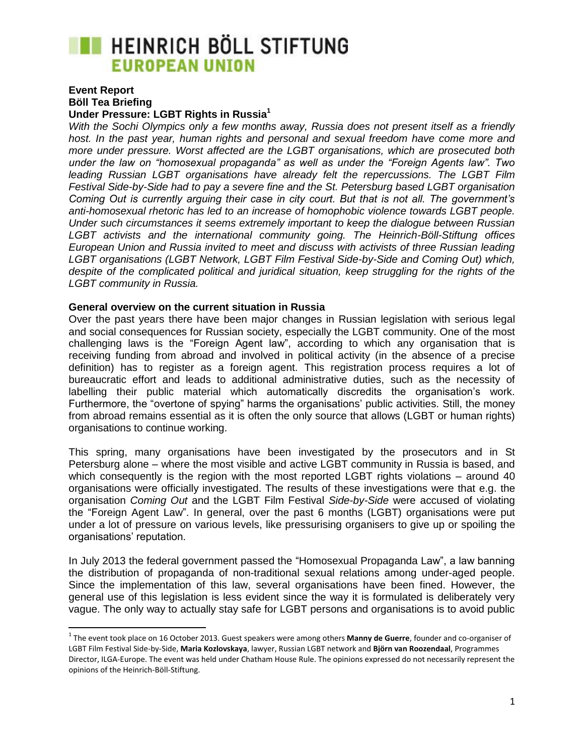# **THEINRICH BÖLL STIFTUNG EUROPEAN UNION**

#### **Event Report Böll Tea Briefing Under Pressure: LGBT Rights in Russia<sup>1</sup>**

 $\overline{\phantom{a}}$ 

*With the Sochi Olympics only a few months away, Russia does not present itself as a friendly host. In the past year, human rights and personal and sexual freedom have come more and more under pressure. Worst affected are the LGBT organisations, which are prosecuted both under the law on "homosexual propaganda" as well as under the "Foreign Agents law". Two leading Russian LGBT organisations have already felt the repercussions. The LGBT Film Festival Side-by-Side had to pay a severe fine and the St. Petersburg based LGBT organisation Coming Out is currently arguing their case in city court. But that is not all. The government's anti-homosexual rhetoric has led to an increase of homophobic violence towards LGBT people. Under such circumstances it seems extremely important to keep the dialogue between Russian LGBT activists and the international community going. The Heinrich-Böll-Stiftung offices European Union and Russia invited to meet and discuss with activists of three Russian leading LGBT organisations (LGBT Network, LGBT Film Festival Side-by-Side and Coming Out) which,*  despite of the complicated political and juridical situation, keep struggling for the rights of the *LGBT community in Russia.*

### **General overview on the current situation in Russia**

Over the past years there have been major changes in Russian legislation with serious legal and social consequences for Russian society, especially the LGBT community. One of the most challenging laws is the "Foreign Agent law", according to which any organisation that is receiving funding from abroad and involved in political activity (in the absence of a precise definition) has to register as a foreign agent. This registration process requires a lot of bureaucratic effort and leads to additional administrative duties, such as the necessity of labelling their public material which automatically discredits the organisation's work. Furthermore, the "overtone of spying" harms the organisations' public activities. Still, the money from abroad remains essential as it is often the only source that allows (LGBT or human rights) organisations to continue working.

This spring, many organisations have been investigated by the prosecutors and in St Petersburg alone – where the most visible and active LGBT community in Russia is based, and which consequently is the region with the most reported LGBT rights violations – around 40 organisations were officially investigated. The results of these investigations were that e.g. the organisation *Coming Out* and the LGBT Film Festival *Side-by-Side* were accused of violating the "Foreign Agent Law". In general, over the past 6 months (LGBT) organisations were put under a lot of pressure on various levels, like pressurising organisers to give up or spoiling the organisations' reputation.

In July 2013 the federal government passed the "Homosexual Propaganda Law", a law banning the distribution of propaganda of non-traditional sexual relations among under-aged people. Since the implementation of this law, several organisations have been fined. However, the general use of this legislation is less evident since the way it is formulated is deliberately very vague. The only way to actually stay safe for LGBT persons and organisations is to avoid public

<sup>1</sup> The event took place on 16 October 2013. Guest speakers were among others **Manny de Guerre**, founder and co-organiser of LGBT Film Festival Side-by-Side, **Maria Kozlovskaya**, lawyer, Russian LGBT network and **Björn van Roozendaal**, Programmes Director, ILGA-Europe. The event was held under Chatham House Rule. The opinions expressed do not necessarily represent the opinions of the Heinrich-Böll-Stiftung.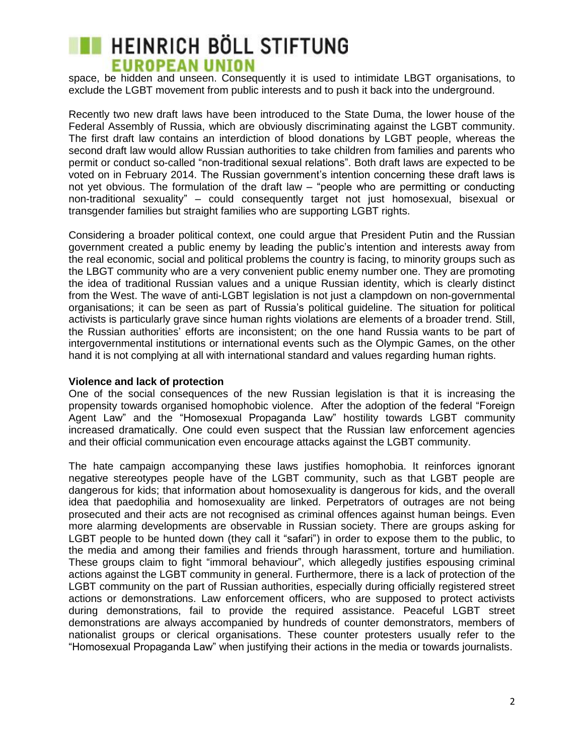# **THEINRICH BÖLL STIFTUNG EUROPEAN UNION**

space, be hidden and unseen. Consequently it is used to intimidate LBGT organisations, to exclude the LGBT movement from public interests and to push it back into the underground.

Recently two new draft laws have been introduced to the State Duma, the lower house of the Federal Assembly of Russia, which are obviously discriminating against the LGBT community. The first draft law contains an interdiction of blood donations by LGBT people, whereas the second draft law would allow Russian authorities to take children from families and parents who permit or conduct so-called "non-traditional sexual relations". Both draft laws are expected to be voted on in February 2014. The Russian government's intention concerning these draft laws is not yet obvious. The formulation of the draft law – "people who are permitting or conducting non-traditional sexuality" – could consequently target not just homosexual, bisexual or transgender families but straight families who are supporting LGBT rights.

Considering a broader political context, one could argue that President Putin and the Russian government created a public enemy by leading the public's intention and interests away from the real economic, social and political problems the country is facing, to minority groups such as the LBGT community who are a very convenient public enemy number one. They are promoting the idea of traditional Russian values and a unique Russian identity, which is clearly distinct from the West. The wave of anti-LGBT legislation is not just a clampdown on non-governmental organisations; it can be seen as part of Russia's political guideline. The situation for political activists is particularly grave since human rights violations are elements of a broader trend. Still, the Russian authorities' efforts are inconsistent; on the one hand Russia wants to be part of intergovernmental institutions or international events such as the Olympic Games, on the other hand it is not complying at all with international standard and values regarding human rights.

#### **Violence and lack of protection**

One of the social consequences of the new Russian legislation is that it is increasing the propensity towards organised homophobic violence. After the adoption of the federal "Foreign Agent Law" and the "Homosexual Propaganda Law" hostility towards LGBT community increased dramatically. One could even suspect that the Russian law enforcement agencies and their official communication even encourage attacks against the LGBT community.

The hate campaign accompanying these laws justifies homophobia. It reinforces ignorant negative stereotypes people have of the LGBT community, such as that LGBT people are dangerous for kids; that information about homosexuality is dangerous for kids, and the overall idea that paedophilia and homosexuality are linked. Perpetrators of outrages are not being prosecuted and their acts are not recognised as criminal offences against human beings. Even more alarming developments are observable in Russian society. There are groups asking for LGBT people to be hunted down (they call it "safari") in order to expose them to the public, to the media and among their families and friends through harassment, torture and humiliation. These groups claim to fight "immoral behaviour", which allegedly justifies espousing criminal actions against the LGBT community in general. Furthermore, there is a lack of protection of the LGBT community on the part of Russian authorities, especially during officially registered street actions or demonstrations. Law enforcement officers, who are supposed to protect activists during demonstrations, fail to provide the required assistance. Peaceful LGBT street demonstrations are always accompanied by hundreds of counter demonstrators, members of nationalist groups or clerical organisations. These counter protesters usually refer to the "Homosexual Propaganda Law" when justifying their actions in the media or towards journalists.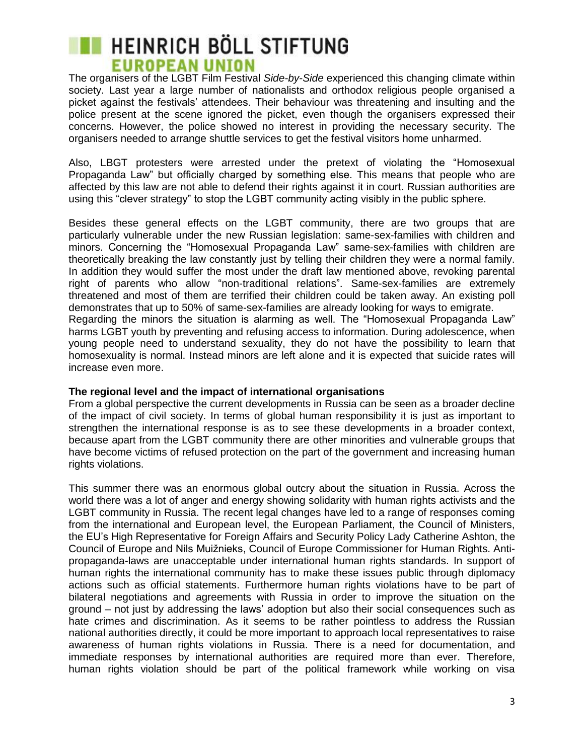## **THEINRICH BÖLL STIFTUNG EUROPEAN UNION**

The organisers of the LGBT Film Festival *Side-by-Side* experienced this changing climate within society. Last year a large number of nationalists and orthodox religious people organised a picket against the festivals' attendees. Their behaviour was threatening and insulting and the police present at the scene ignored the picket, even though the organisers expressed their concerns. However, the police showed no interest in providing the necessary security. The organisers needed to arrange shuttle services to get the festival visitors home unharmed.

Also, LBGT protesters were arrested under the pretext of violating the "Homosexual Propaganda Law" but officially charged by something else. This means that people who are affected by this law are not able to defend their rights against it in court. Russian authorities are using this "clever strategy" to stop the LGBT community acting visibly in the public sphere.

Besides these general effects on the LGBT community, there are two groups that are particularly vulnerable under the new Russian legislation: same-sex-families with children and minors. Concerning the "Homosexual Propaganda Law" same-sex-families with children are theoretically breaking the law constantly just by telling their children they were a normal family. In addition they would suffer the most under the draft law mentioned above, revoking parental right of parents who allow "non-traditional relations". Same-sex-families are extremely threatened and most of them are terrified their children could be taken away. An existing poll demonstrates that up to 50% of same-sex-families are already looking for ways to emigrate. Regarding the minors the situation is alarming as well. The "Homosexual Propaganda Law" harms LGBT youth by preventing and refusing access to information. During adolescence, when young people need to understand sexuality, they do not have the possibility to learn that homosexuality is normal. Instead minors are left alone and it is expected that suicide rates will increase even more.

### **The regional level and the impact of international organisations**

From a global perspective the current developments in Russia can be seen as a broader decline of the impact of civil society. In terms of global human responsibility it is just as important to strengthen the international response is as to see these developments in a broader context, because apart from the LGBT community there are other minorities and vulnerable groups that have become victims of refused protection on the part of the government and increasing human rights violations.

This summer there was an enormous global outcry about the situation in Russia. Across the world there was a lot of anger and energy showing solidarity with human rights activists and the LGBT community in Russia. The recent legal changes have led to a range of responses coming from the international and European level, the European Parliament, the Council of Ministers, the EU's High Representative for Foreign Affairs and Security Policy Lady Catherine Ashton, the Council of Europe and Nils Muižnieks, Council of Europe Commissioner for Human Rights. Antipropaganda-laws are unacceptable under international human rights standards. In support of human rights the international community has to make these issues public through diplomacy actions such as official statements. Furthermore human rights violations have to be part of bilateral negotiations and agreements with Russia in order to improve the situation on the ground – not just by addressing the laws' adoption but also their social consequences such as hate crimes and discrimination. As it seems to be rather pointless to address the Russian national authorities directly, it could be more important to approach local representatives to raise awareness of human rights violations in Russia. There is a need for documentation, and immediate responses by international authorities are required more than ever. Therefore, human rights violation should be part of the political framework while working on visa